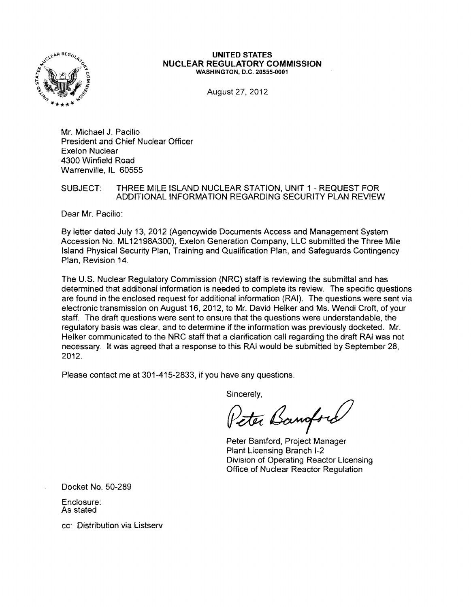

#### **UNITED STATES NUCLEAR REGULATORY COMMISSION** WASHINGTON, D.C. 20555-0001

August 27, 2012

Mr. Michael J. Pacilio President and Chief Nuclear Officer Exelon Nuclear 4300 Winfield Road Warrenville, IL 60555

## SUBJECT: THREE MILE ISLAND NUCLEAR STATION, UNIT 1 - REQUEST FOR ADDITIONAL INFORMATION REGARDING SECURITY PLAN REVIEW

Dear Mr. Pacilio:

By letter dated July 13, 2012 (Agencywide Documents Access and Management System Accession No. ML 12198A300), Exelon Generation Company, LLC submitted the Three Mile Island Physical Security Plan, Training and Qualification Plan, and Safeguards Contingency Plan, Revision 14.

The U.S. Nuclear Regulatory Commission (NRC) staff is reviewing the submittal and has determined that additional information is needed to complete its review. The specific questions are found in the enclosed request for additional information (RAJ). The questions were sent via electronic transmission on August 16, 2012, to Mr. David Helker and Ms. Wendi Croft, of your staff. The draft questions were sent to ensure that the questions were understandable, the regulatory basis was clear, and to determine if the information was previously docketed. Mr. Helker communicated to the NRC staff that a clarification call regarding the draft RAI was not necessary. It was agreed that a response to this RAI would be submitted by September 28, 2012.

Please contact me at 301-415-2833, if you have any questions.

Sincerely,

Peter Banford

Peter Bamford, Project Manager Plant Licensing Branch 1-2 Division of Operating Reactor Licensing Office of Nuclear Reactor Regulation

Docket No. 50-289

Enclosure: As stated

cc: Distribution via Listserv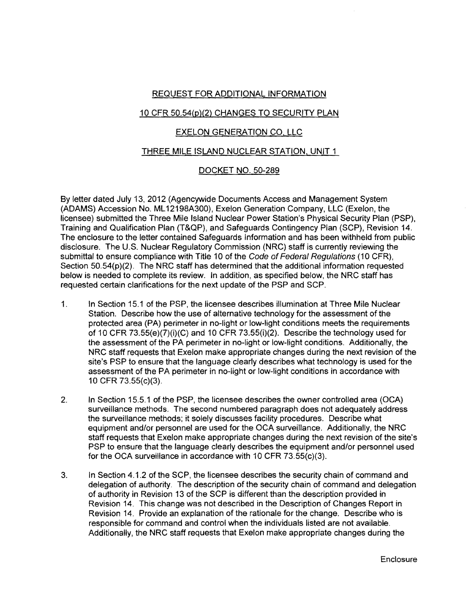## REQUEST FOR ADDITIONAL INFORMATION

## 10 CFR 50.54(p)(2) CHANGES TO SECURITY PLAN

# EXELON GENERATION CO, LLC

## THREE MILE ISLAND NUCLEAR STATION, UNIT 1

## DOCKET NO. 50-289

By letter dated July 13,2012 (Agencywide Documents Access and Management System (ADAMS) Accession No. ML 12198A300), Exelon Generation Company, LLC (Exelon, the licensee) submitted the Three Mile Island Nuclear Power Station's Physical Security Plan (PSP), Training and Qualification Plan (T&QP), and Safeguards Contingency Plan (SCP), Revision 14. The enclosure to the letter contained Safeguards Information and has been withheld from public disclosure. The U.S. Nuclear Regulatory Commission (NRC) staff is currently reviewing the submittal to ensure compliance with Title 10 of the Code of Federal Regulations (10 CFR), Section 50.54(p)(2). The NRC staff has determined that the additional information requested below is needed to complete its review. In addition, as specified below, the NRC staff has requested certain clarifications for the next update of the PSP and SCP.

- 1. In Section 15.1 of the PSP, the licensee describes illumination at Three Mile Nuclear Station. Describe how the use of alternative technology for the assessment of the protected area (PA) perimeter in no-light or low-light conditions meets the requirements of 10 CFR 73.55(e)(7)(i)(C) and 10 CFR 73.55(i)(2). Describe the technology used for the assessment of the PA perimeter in no-light or low-light conditions. Additionally, the NRC staff requests that Exelon make appropriate changes during the next revision of the site's PSP to ensure that the language clearly describes what technology is used for the assessment of the PA perimeter in no-light or low-light conditions in accordance with 10 CFR 73.55(c)(3).
- 2. In Section 15.5.1 of the PSP, the licensee describes the owner controlled area (OCA) surveillance methods. The second numbered paragraph does not adequately address the surveillance methods; it solely discusses facility procedures. Describe what equipment and/or personnel are used for the OCA surveillance. Additionally, the NRC staff requests that Exelon make appropriate changes during the next revision of the site's PSP to ensure that the language clearly describes the equipment and/or personnel used for the OCA surveillance in accordance with 10 CFR 73.55(c)(3).
- 3. In Section 4.1.2 of the SCP, the licensee describes the security chain of command and delegation of authority. The description of the security chain of command and delegation of authority in Revision 13 of the SCP is different than the description provided in Revision 14. This change was not described in the Description of Changes Report in Revision 14. Provide an explanation of the rationale for the change. Describe who is responsible for command and control when the individuals listed are not available. Additionally, the NRC staff requests that Exelon make appropriate changes during the

Enclosure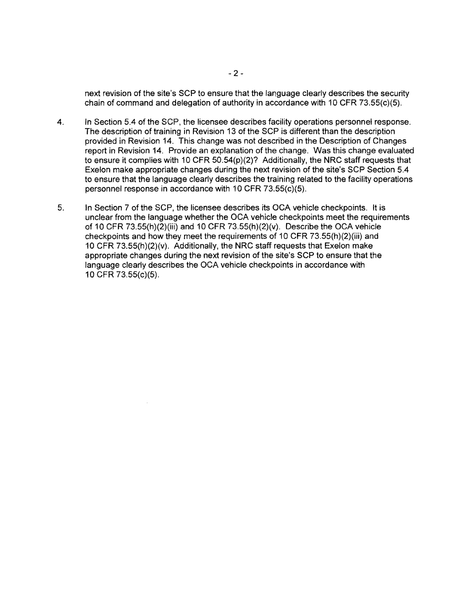next revision of the site's SCP to ensure that the language clearly describes the security chain of command and delegation of authority in accordance with 10 CFR 73.55(c)(5).

- 4. In Section 5.4 of the SCP, the licensee describes facility operations personnel response. The description of training in Revision 13 of the SCP is different than the description provided in Revision 14. This change was not described in the Description of Changes report in Revision 14. Provide an explanation of the change. Was this change evaluated to ensure it complies with 10 CFR 50.54(p)(2)? Additionally, the NRC staff requests that Exelon make appropriate changes during the next revision of the site's SCP Section 5.4 to ensure that the language clearly describes the training related to the facility operations personnel response in accordance with 10 CFR 73.55(c)(5).
- 5. In Section 7 of the SCP, the licensee describes its OCA vehicle checkpoints. It is unclear from the language whether the eCA vehicle checkpoints meet the requirements of 10 CFR 73.55(h)(2)(iii) and 10 CFR 73.55(h)(2)(v). Describe the OCA vehicle checkpoints and how they meet the requirements of 10 CFR 73.55(h)(2)(iii) and 10 CFR 73.55(h)(2)(v). Additionally. the NRC staff requests that Exelon make appropriate changes during the next revision of the site's SCP to ensure that the language clearly describes the OCA vehicle checkpoints in accordance with 10 CFR 73.55(c)(5).